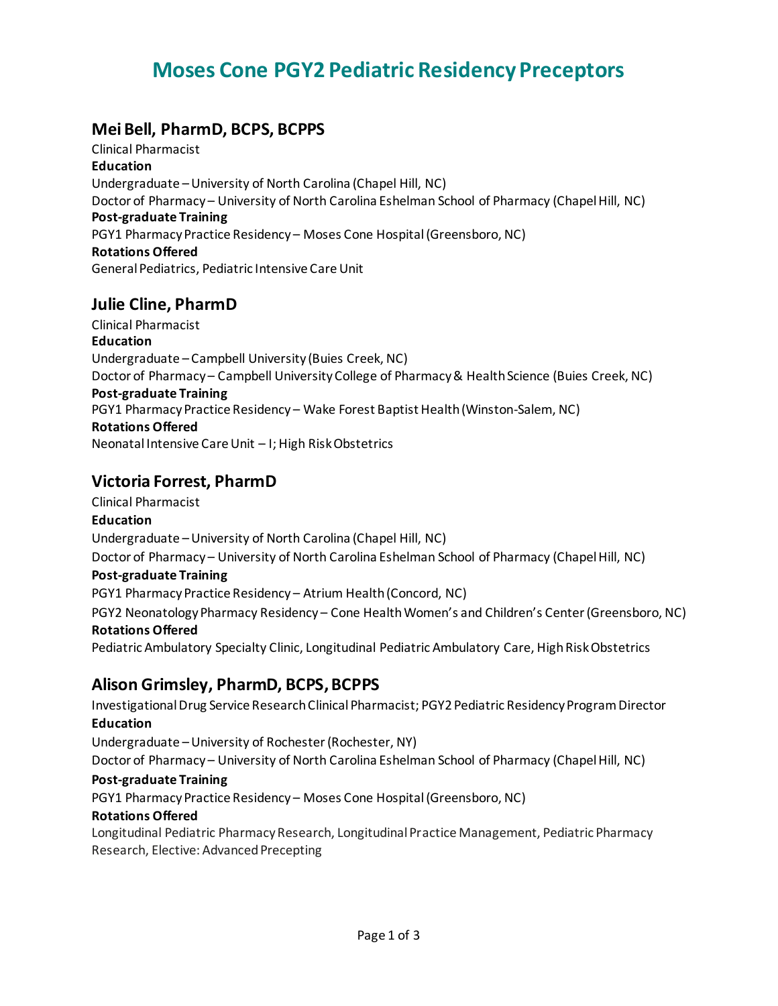# **Moses Cone PGY2 Pediatric Residency Preceptors**

# **Mei Bell, PharmD, BCPS, BCPPS**

Clinical Pharmacist **Education** Undergraduate –University of North Carolina (Chapel Hill, NC) Doctor of Pharmacy – University of North Carolina Eshelman School of Pharmacy (Chapel Hill, NC) **Post-graduate Training** PGY1 Pharmacy Practice Residency – Moses Cone Hospital (Greensboro, NC) **Rotations Offered** General Pediatrics, Pediatric Intensive Care Unit

# **Julie Cline, PharmD**

Clinical Pharmacist **Education** Undergraduate – Campbell University (Buies Creek, NC) Doctor of Pharmacy – Campbell University College of Pharmacy & Health Science (Buies Creek, NC) **Post-graduate Training** PGY1 Pharmacy Practice Residency – Wake Forest Baptist Health (Winston-Salem, NC) **Rotations Offered** Neonatal Intensive Care Unit – I; High Risk Obstetrics

# **Victoria Forrest, PharmD**

Clinical Pharmacist

## **Education**

Undergraduate –University of North Carolina (Chapel Hill, NC) Doctor of Pharmacy – University of North Carolina Eshelman School of Pharmacy (Chapel Hill, NC)

## **Post-graduate Training**

PGY1 Pharmacy Practice Residency – Atrium Health (Concord, NC) PGY2 Neonatology Pharmacy Residency – Cone Health Women's and Children's Center (Greensboro, NC) **Rotations Offered** Pediatric Ambulatory Specialty Clinic, Longitudinal Pediatric Ambulatory Care, High Risk Obstetrics

# **Alison Grimsley, PharmD, BCPS, BCPPS**

Investigational Drug Service Research Clinical Pharmacist; PGY2 Pediatric Residency Program Director **Education**

Undergraduate –University of Rochester (Rochester, NY)

Doctor of Pharmacy – University of North Carolina Eshelman School of Pharmacy (Chapel Hill, NC)

### **Post-graduate Training**

PGY1 Pharmacy Practice Residency – Moses Cone Hospital (Greensboro, NC)

### **Rotations Offered**

Longitudinal Pediatric Pharmacy Research, Longitudinal Practice Management, Pediatric Pharmacy Research, Elective: Advanced Precepting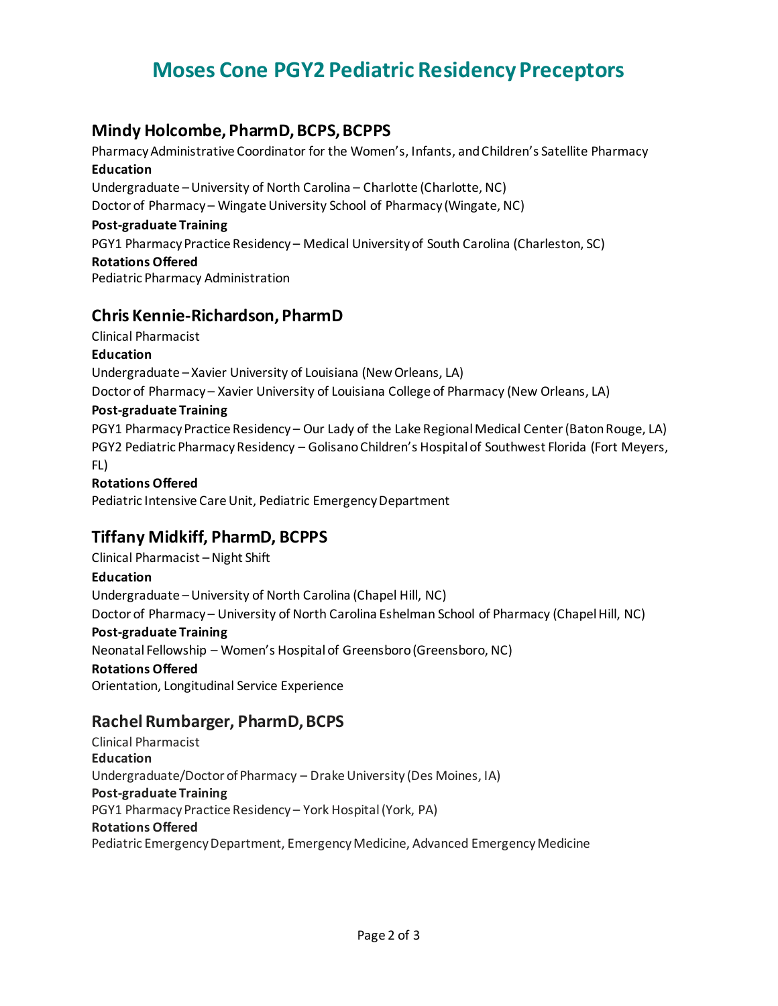# **Moses Cone PGY2 Pediatric Residency Preceptors**

## **Mindy Holcombe, PharmD, BCPS, BCPPS**

Pharmacy Administrative Coordinator for the Women's, Infants, and Children's Satellite Pharmacy **Education**  Undergraduate –University of North Carolina – Charlotte (Charlotte, NC)

Doctor of Pharmacy – Wingate University School of Pharmacy (Wingate, NC)

#### **Post-graduate Training**

PGY1 Pharmacy Practice Residency – Medical University of South Carolina (Charleston, SC) **Rotations Offered**

Pediatric Pharmacy Administration

## **Chris Kennie-Richardson, PharmD**

Clinical Pharmacist

### **Education**

Undergraduate – Xavier University of Louisiana (New Orleans, LA) Doctor of Pharmacy – Xavier University of Louisiana College of Pharmacy (New Orleans, LA)

## **Post-graduate Training**

PGY1 Pharmacy Practice Residency – Our Lady of the Lake Regional Medical Center (Baton Rouge, LA) PGY2 Pediatric Pharmacy Residency – Golisano Children's Hospital of Southwest Florida (Fort Meyers, FL)

#### **Rotations Offered**

Pediatric Intensive Care Unit, Pediatric Emergency Department

# **Tiffany Midkiff, PharmD, BCPPS**

Clinical Pharmacist –Night Shift **Education** Undergraduate –University of North Carolina (Chapel Hill, NC) Doctor of Pharmacy – University of North Carolina Eshelman School of Pharmacy (Chapel Hill, NC) **Post-graduate Training** Neonatal Fellowship – Women's Hospital of Greensboro (Greensboro, NC) **Rotations Offered** Orientation, Longitudinal Service Experience

# **Rachel Rumbarger, PharmD, BCPS**

Clinical Pharmacist **Education** Undergraduate/Doctor of Pharmacy – Drake University (Des Moines, IA) **Post-graduate Training** PGY1 Pharmacy Practice Residency – York Hospital(York, PA) **Rotations Offered** Pediatric Emergency Department, Emergency Medicine, Advanced Emergency Medicine